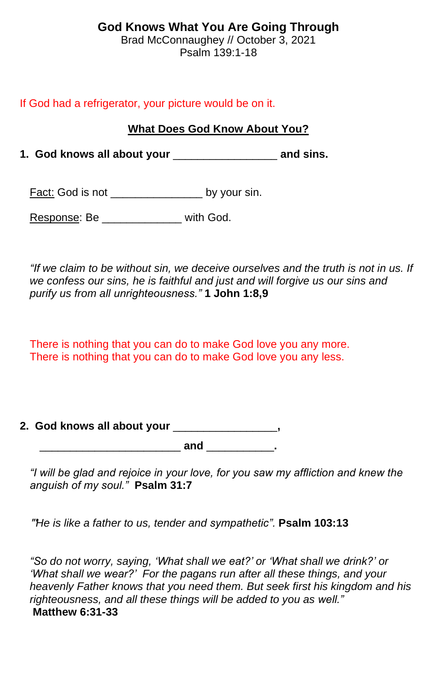# **God Knows What You Are Going Through**

Brad McConnaughey // October 3, 2021 Psalm 139:1-18

### If God had a refrigerator, your picture would be on it.

## **What Does God Know About You?**

**1. God knows all about your** \_\_\_\_\_\_\_\_\_\_\_\_\_\_\_\_\_ **and sins.**

Fact: God is not \_\_\_\_\_\_\_\_\_\_\_\_\_\_\_\_\_\_\_ by your sin.

Response: Be \_\_\_\_\_\_\_\_\_\_\_\_\_ with God.

*"If we claim to be without sin, we deceive ourselves and the truth is not in us. If we confess our sins, he is faithful and just and will forgive us our sins and purify us from all unrighteousness."* **1 John 1:8,9**

There is nothing that you can do to make God love you any more. There is nothing that you can do to make God love you any less.

# **2. God knows all about your** \_\_\_\_\_\_\_\_\_\_\_\_\_\_\_\_\_**,**

 $and$   $\qquad \qquad .$ 

*"I will be glad and rejoice in your love, for you saw my affliction and knew the anguish of my soul."* **Psalm 31:7**

"'*He is like a father to us, tender and sympathetic".* **Psalm 103:13**

*"So do not worry, saying, 'What shall we eat?' or 'What shall we drink?' or 'What shall we wear?' For the pagans run after all these things, and your heavenly Father knows that you need them. But seek first his kingdom and his righteousness, and all these things will be added to you as well."* **Matthew 6:31-33**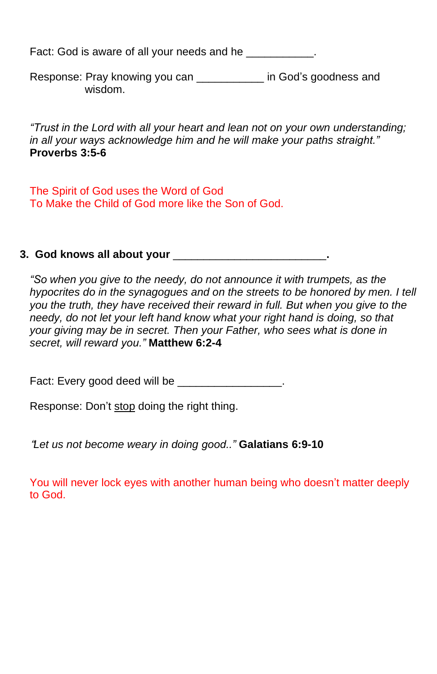Fact: God is aware of all your needs and he

Response: Pray knowing you can **Example 20** in God's goodness and wisdom.

*"Trust in the Lord with all your heart and lean not on your own understanding; in all your ways acknowledge him and he will make your paths straight."*  **Proverbs 3:5-6**

The Spirit of God uses the Word of God To Make the Child of God more like the Son of God.

## **3. God knows all about your** \_\_\_\_\_\_\_\_\_\_\_\_\_\_\_\_\_\_\_\_\_\_\_\_\_**.**

*"So when you give to the needy, do not announce it with trumpets, as the hypocrites do in the synagogues and on the streets to be honored by men. I tell you the truth, they have received their reward in full. But when you give to the needy, do not let your left hand know what your right hand is doing, so that your giving may be in secret. Then your Father, who sees what is done in secret, will reward you."* **Matthew 6:2-4**

Fact: Every good deed will be **Example 20** Fact: Every good deed will be

Response: Don't stop doing the right thing.

"*Let us not become weary in doing good.."* **Galatians 6:9-10**

You will never lock eyes with another human being who doesn't matter deeply to God.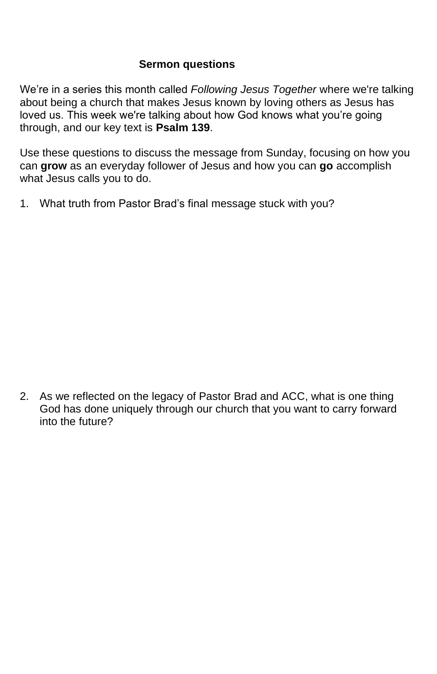### **Sermon questions**

We're in a series this month called *Following Jesus Together* where we're talking about being a church that makes Jesus known by loving others as Jesus has loved us. This week we're talking about how God knows what you're going through, and our key text is **Psalm 139**.

Use these questions to discuss the message from Sunday, focusing on how you can **grow** as an everyday follower of Jesus and how you can **go** accomplish what Jesus calls you to do.

1. What truth from Pastor Brad's final message stuck with you?

2. As we reflected on the legacy of Pastor Brad and ACC, what is one thing God has done uniquely through our church that you want to carry forward into the future?